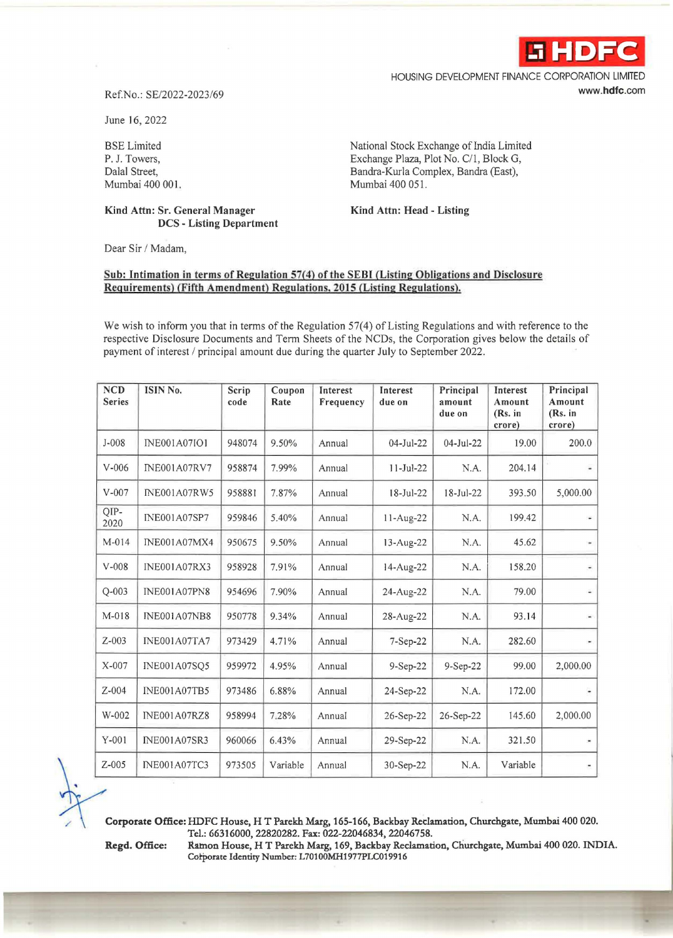

HOUSING DEVELOPMENT FINANCE CORPORATION LIMITED **www.hdfc.com** 

## Ref.No.: SE/2022-2023/69

June 16, 2022

BSE Limited P. J. Towers, Dalal Street, Mumbai 400 001.

## **Kind Attn: Sr. General Manager DCS** - **Listing Department**

National Stock Exchange of India Limited Exchange Plaza, Plot No. C/1, Block G, Bandra-Kurla Complex, Sandra (East), Mumbai 400 051.

**Kind Attn: Head** - **Listing** 

Dear Sir / Madam,

## **Sub: Intimation** in **terms of Regulation 57{4) of the SEBI (Listing Obligations and Disclosure Requirements) (Fifth Amendment) Regulations, 2015 (Listing Regulations).**

We wish to inform you that in terms of the Regulation 57(4) of Listing Regulations and with reference to the respective Disclosure Documents and Term Sheets of the NCDs, the Corporation gives below the details of payment of interest/ principal amount due during the quarter July to September 2022.

| <b>NCD</b><br><b>Series</b> | ISIN No.            | Scrip<br>code | Coupon<br>Rate | Interest<br>Frequency | Interest<br>due on | Principal<br>amount<br>due on | Interest<br>Amount<br>(Rs. in<br>crore) | Principal<br>Amount<br>(Rs. in<br>crore) |
|-----------------------------|---------------------|---------------|----------------|-----------------------|--------------------|-------------------------------|-----------------------------------------|------------------------------------------|
| $J-008$                     | <b>INE001A07IO1</b> | 948074        | 9.50%          | Annual                | $04-Jul-22$        | $04-Jul-22$                   | 19.00                                   | 200.0                                    |
| $V-006$                     | <b>INE001A07RV7</b> | 958874        | 7.99%          | Annual                | $11-Jul-22$        | N.A.                          | 204.14                                  | ۰                                        |
| $V-007$                     | <b>INE001A07RW5</b> | 958881        | 7.87%          | Annual                | $18 - Jul - 22$    | 18-Jul-22                     | 393.50                                  | 5,000.00                                 |
| QIP-<br>2020                | <b>INE001A07SP7</b> | 959846        | 5.40%          | Annual                | 11-Aug-22          | N.A.                          | 199.42                                  | ÷                                        |
| $M-014$                     | <b>INE001A07MX4</b> | 950675        | 9.50%          | Annual                | 13-Aug-22          | N.A.                          | 45.62                                   | ۰                                        |
| $V-008$                     | <b>INE001A07RX3</b> | 958928        | 7.91%          | Annual                | 14-Aug-22          | N.A.                          | 158.20                                  | $\blacksquare$                           |
| $Q - 003$                   | <b>INE001A07PN8</b> | 954696        | 7.90%          | Annual                | 24-Aug-22          | N.A.                          | 79.00                                   | ä,                                       |
| M-018                       | <b>INE001A07NB8</b> | 950778        | 9.34%          | Annual                | 28-Aug-22          | N.A.                          | 93.14                                   | $\blacksquare$                           |
| $Z-003$                     | <b>INE001A07TA7</b> | 973429        | 4.71%          | Annual                | 7-Sep-22           | N.A.                          | 282.60                                  |                                          |
| $X-007$                     | <b>INE001A07SQ5</b> | 959972        | 4.95%          | Annual                | $9-Sep-22$         | $9-Sep-22$                    | 99.00                                   | 2,000.00                                 |
| $Z - 004$                   | INE001A07TB5        | 973486        | 6.88%          | Annual                | 24-Sep-22          | N.A.                          | 172.00                                  | $\overline{\phantom{a}}$                 |
| W-002                       | <b>INE001A07RZ8</b> | 958994        | 7.28%          | Annual                | 26-Sep-22          | 26-Sep-22                     | 145.60                                  | 2,000.00                                 |
| $Y-001$                     | <b>INE001A07SR3</b> | 960066        | 6.43%          | Annual                | 29-Sep-22          | N.A.                          | 321.50                                  | $\blacksquare$                           |
| $Z-005$                     | <b>INE001A07TC3</b> | 973505        | Variable       | Annual                | 30-Sep-22          | N.A.                          | Variable                                | $\overline{\phantom{a}}$                 |

**Corporate Office: HDFC House, H T Parekh Marg, 165-166, Backbay Reclamation, Churchgate, Mumbai 400 020. Tel.: 66316000, 22820282. Fax: 022-22046834, 22046758.** 

Regd. Office: Ramon House, HT Parekh Marg, 169, Backbay Reclamation, Churchgate, Mumbai 400 020. INDIA. Corporate Identity Number: L701OOMH1977PLC019916